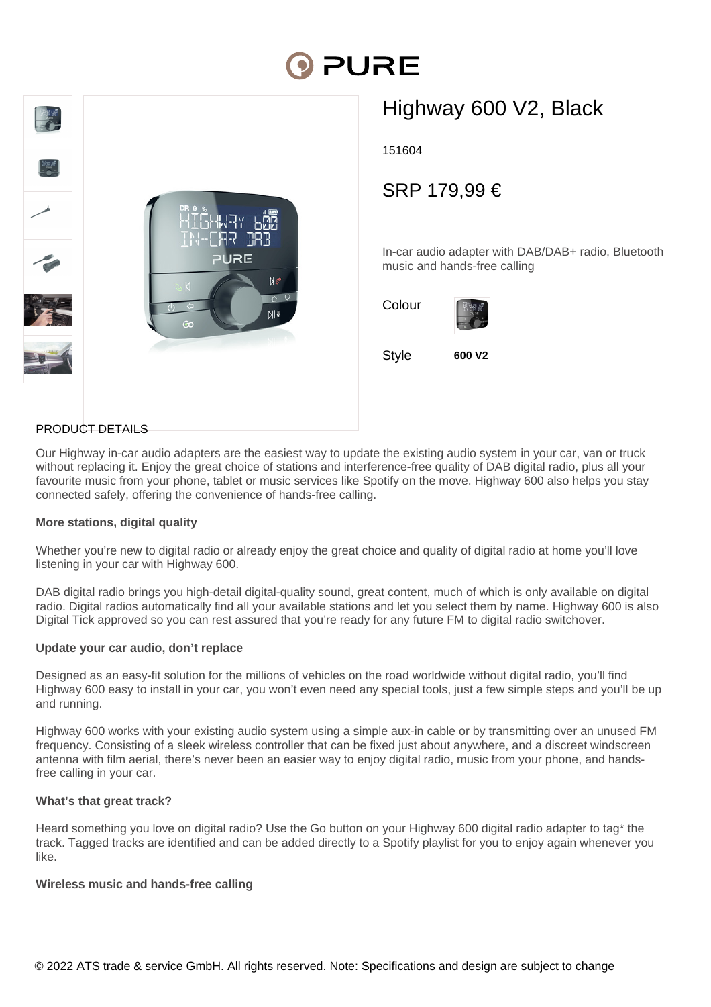# **DI PURE**



## Highway 600 V2, Black

151604

### SRP 179,99 €

In-car audio adapter with DAB/DAB+ radio, Bluetooth music and hands-free calling



#### PRODUCT DETAILS

Our Highway in-car audio adapters are the easiest way to update the existing audio system in your car, van or truck without replacing it. Enjoy the great choice of stations and interference-free quality of DAB digital radio, plus all your favourite music from your phone, tablet or music services like Spotify on the move. Highway 600 also helps you stay connected safely, offering the convenience of hands-free calling.

#### **More stations, digital quality**

Whether you're new to digital radio or already enjoy the great choice and quality of digital radio at home you'll love listening in your car with Highway 600.

DAB digital radio brings you high-detail digital-quality sound, great content, much of which is only available on digital radio. Digital radios automatically find all your available stations and let you select them by name. Highway 600 is also Digital Tick approved so you can rest assured that you're ready for any future FM to digital radio switchover.

#### **Update your car audio, don't replace**

Designed as an easy-fit solution for the millions of vehicles on the road worldwide without digital radio, you'll find Highway 600 easy to install in your car, you won't even need any special tools, just a few simple steps and you'll be up and running.

Highway 600 works with your existing audio system using a simple aux-in cable or by transmitting over an unused FM frequency. Consisting of a sleek wireless controller that can be fixed just about anywhere, and a discreet windscreen antenna with film aerial, there's never been an easier way to enjoy digital radio, music from your phone, and handsfree calling in your car.

#### **What's that great track?**

Heard something you love on digital radio? Use the Go button on your Highway 600 digital radio adapter to tag\* the track. Tagged tracks are identified and can be added directly to a Spotify playlist for you to enjoy again whenever you like.

#### **Wireless music and hands-free calling**